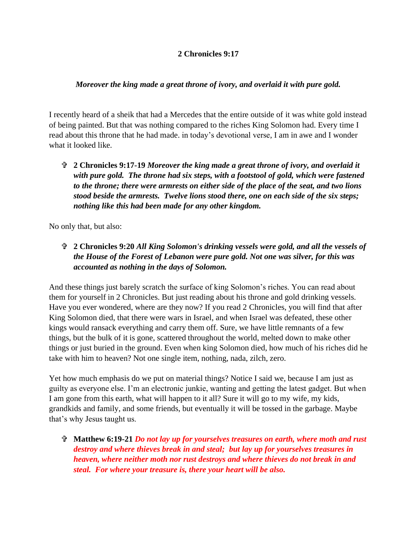## **2 Chronicles 9:17**

## *Moreover the king made a great throne of ivory, and overlaid it with pure gold.*

I recently heard of a sheik that had a Mercedes that the entire outside of it was white gold instead of being painted. But that was nothing compared to the riches King Solomon had. Every time I read about this throne that he had made. in today's devotional verse, I am in awe and I wonder what it looked like.

 **2 Chronicles 9:17-19** *Moreover the king made a great throne of ivory, and overlaid it with pure gold. The throne had six steps, with a footstool of gold, which were fastened to the throne; there were armrests on either side of the place of the seat, and two lions stood beside the armrests. Twelve lions stood there, one on each side of the six steps; nothing like this had been made for any other kingdom.*

No only that, but also:

 **2 Chronicles 9:20** *All King Solomon's drinking vessels were gold, and all the vessels of the House of the Forest of Lebanon were pure gold. Not one was silver, for this was accounted as nothing in the days of Solomon.*

And these things just barely scratch the surface of king Solomon's riches. You can read about them for yourself in 2 Chronicles. But just reading about his throne and gold drinking vessels. Have you ever wondered, where are they now? If you read 2 Chronicles, you will find that after King Solomon died, that there were wars in Israel, and when Israel was defeated, these other kings would ransack everything and carry them off. Sure, we have little remnants of a few things, but the bulk of it is gone, scattered throughout the world, melted down to make other things or just buried in the ground. Even when king Solomon died, how much of his riches did he take with him to heaven? Not one single item, nothing, nada, zilch, zero.

Yet how much emphasis do we put on material things? Notice I said we, because I am just as guilty as everyone else. I'm an electronic junkie, wanting and getting the latest gadget. But when I am gone from this earth, what will happen to it all? Sure it will go to my wife, my kids, grandkids and family, and some friends, but eventually it will be tossed in the garbage. Maybe that's why Jesus taught us.

 **Matthew 6:19-21** *Do not lay up for yourselves treasures on earth, where moth and rust destroy and where thieves break in and steal; but lay up for yourselves treasures in heaven, where neither moth nor rust destroys and where thieves do not break in and steal. For where your treasure is, there your heart will be also.*